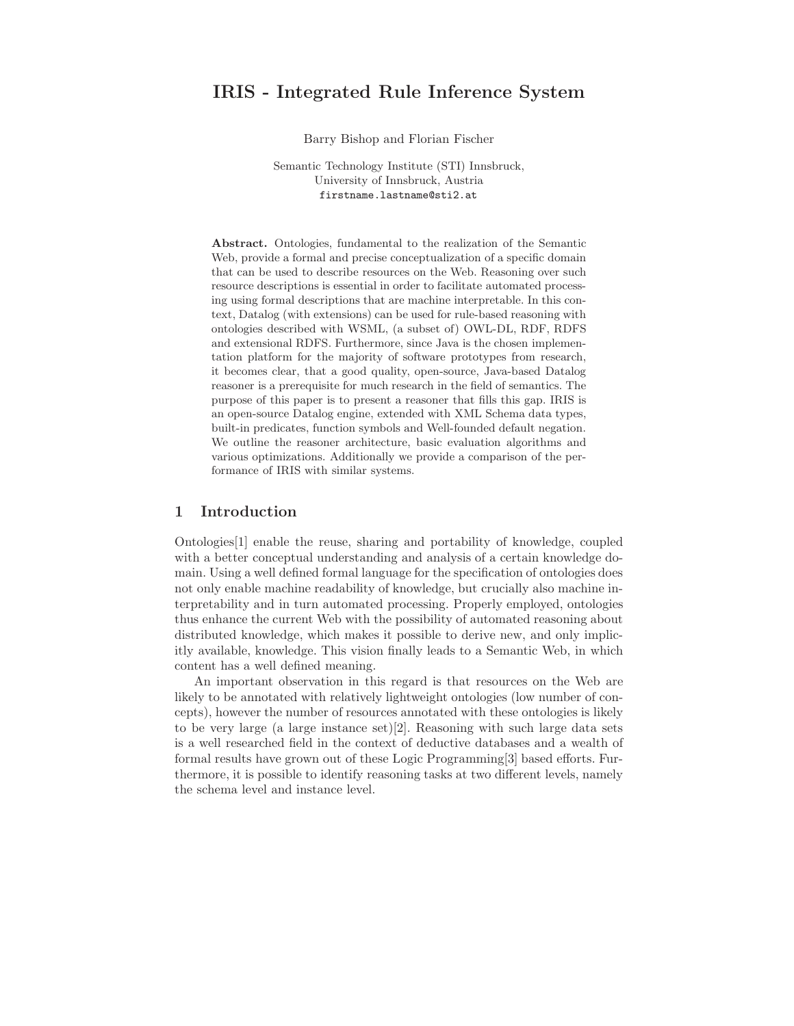# IRIS - Integrated Rule Inference System

Barry Bishop and Florian Fischer

Semantic Technology Institute (STI) Innsbruck, University of Innsbruck, Austria firstname.lastname@sti2.at

Abstract. Ontologies, fundamental to the realization of the Semantic Web, provide a formal and precise conceptualization of a specific domain that can be used to describe resources on the Web. Reasoning over such resource descriptions is essential in order to facilitate automated processing using formal descriptions that are machine interpretable. In this context, Datalog (with extensions) can be used for rule-based reasoning with ontologies described with WSML, (a subset of) OWL-DL, RDF, RDFS and extensional RDFS. Furthermore, since Java is the chosen implementation platform for the majority of software prototypes from research, it becomes clear, that a good quality, open-source, Java-based Datalog reasoner is a prerequisite for much research in the field of semantics. The purpose of this paper is to present a reasoner that fills this gap. IRIS is an open-source Datalog engine, extended with XML Schema data types, built-in predicates, function symbols and Well-founded default negation. We outline the reasoner architecture, basic evaluation algorithms and various optimizations. Additionally we provide a comparison of the performance of IRIS with similar systems.

### 1 Introduction

Ontologies[1] enable the reuse, sharing and portability of knowledge, coupled with a better conceptual understanding and analysis of a certain knowledge domain. Using a well defined formal language for the specification of ontologies does not only enable machine readability of knowledge, but crucially also machine interpretability and in turn automated processing. Properly employed, ontologies thus enhance the current Web with the possibility of automated reasoning about distributed knowledge, which makes it possible to derive new, and only implicitly available, knowledge. This vision finally leads to a Semantic Web, in which content has a well defined meaning.

An important observation in this regard is that resources on the Web are likely to be annotated with relatively lightweight ontologies (low number of concepts), however the number of resources annotated with these ontologies is likely to be very large (a large instance set)[2]. Reasoning with such large data sets is a well researched field in the context of deductive databases and a wealth of formal results have grown out of these Logic Programming[3] based efforts. Furthermore, it is possible to identify reasoning tasks at two different levels, namely the schema level and instance level.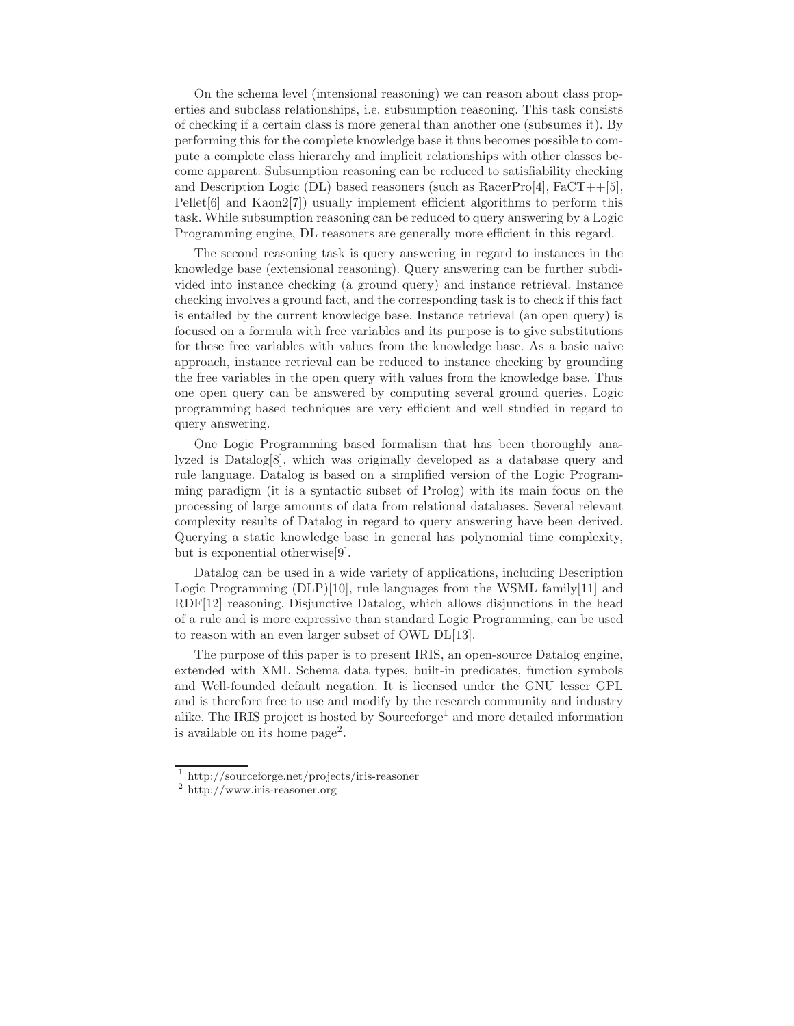On the schema level (intensional reasoning) we can reason about class properties and subclass relationships, i.e. subsumption reasoning. This task consists of checking if a certain class is more general than another one (subsumes it). By performing this for the complete knowledge base it thus becomes possible to compute a complete class hierarchy and implicit relationships with other classes become apparent. Subsumption reasoning can be reduced to satisfiability checking and Description Logic (DL) based reasoners (such as  $\text{RacerPro}[4]$ ,  $\text{FacT++}[5]$ , Pellet<sup>[6]</sup> and Kaon2<sup>[7]</sup>) usually implement efficient algorithms to perform this task. While subsumption reasoning can be reduced to query answering by a Logic Programming engine, DL reasoners are generally more efficient in this regard.

The second reasoning task is query answering in regard to instances in the knowledge base (extensional reasoning). Query answering can be further subdivided into instance checking (a ground query) and instance retrieval. Instance checking involves a ground fact, and the corresponding task is to check if this fact is entailed by the current knowledge base. Instance retrieval (an open query) is focused on a formula with free variables and its purpose is to give substitutions for these free variables with values from the knowledge base. As a basic naive approach, instance retrieval can be reduced to instance checking by grounding the free variables in the open query with values from the knowledge base. Thus one open query can be answered by computing several ground queries. Logic programming based techniques are very efficient and well studied in regard to query answering.

One Logic Programming based formalism that has been thoroughly analyzed is Datalog[8], which was originally developed as a database query and rule language. Datalog is based on a simplified version of the Logic Programming paradigm (it is a syntactic subset of Prolog) with its main focus on the processing of large amounts of data from relational databases. Several relevant complexity results of Datalog in regard to query answering have been derived. Querying a static knowledge base in general has polynomial time complexity, but is exponential otherwise[9].

Datalog can be used in a wide variety of applications, including Description Logic Programming  $(DLP)[10]$ , rule languages from the WSML family $[11]$  and RDF[12] reasoning. Disjunctive Datalog, which allows disjunctions in the head of a rule and is more expressive than standard Logic Programming, can be used to reason with an even larger subset of OWL DL[13].

The purpose of this paper is to present IRIS, an open-source Datalog engine, extended with XML Schema data types, built-in predicates, function symbols and Well-founded default negation. It is licensed under the GNU lesser GPL and is therefore free to use and modify by the research community and industry alike. The IRIS project is hosted by  $Sourcefore<sup>1</sup>$  and more detailed information is available on its home page<sup>2</sup> .

<sup>1</sup> http://sourceforge.net/projects/iris-reasoner

<sup>2</sup> http://www.iris-reasoner.org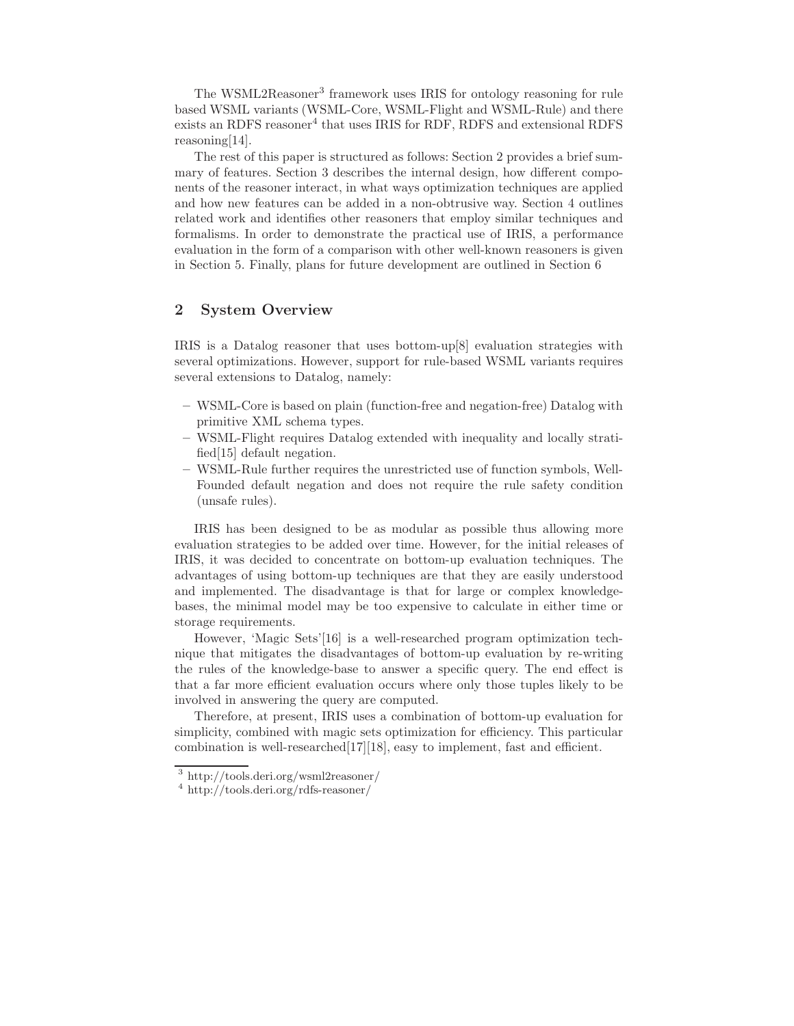The WSML2Reasoner<sup>3</sup> framework uses IRIS for ontology reasoning for rule based WSML variants (WSML-Core, WSML-Flight and WSML-Rule) and there exists an RDFS reasoner<sup>4</sup> that uses IRIS for RDF, RDFS and extensional RDFS reasoning[14].

The rest of this paper is structured as follows: Section 2 provides a brief summary of features. Section 3 describes the internal design, how different components of the reasoner interact, in what ways optimization techniques are applied and how new features can be added in a non-obtrusive way. Section 4 outlines related work and identifies other reasoners that employ similar techniques and formalisms. In order to demonstrate the practical use of IRIS, a performance evaluation in the form of a comparison with other well-known reasoners is given in Section 5. Finally, plans for future development are outlined in Section 6

### 2 System Overview

IRIS is a Datalog reasoner that uses bottom-up[8] evaluation strategies with several optimizations. However, support for rule-based WSML variants requires several extensions to Datalog, namely:

- WSML-Core is based on plain (function-free and negation-free) Datalog with primitive XML schema types.
- WSML-Flight requires Datalog extended with inequality and locally stratified[15] default negation.
- WSML-Rule further requires the unrestricted use of function symbols, Well-Founded default negation and does not require the rule safety condition (unsafe rules).

IRIS has been designed to be as modular as possible thus allowing more evaluation strategies to be added over time. However, for the initial releases of IRIS, it was decided to concentrate on bottom-up evaluation techniques. The advantages of using bottom-up techniques are that they are easily understood and implemented. The disadvantage is that for large or complex knowledgebases, the minimal model may be too expensive to calculate in either time or storage requirements.

However, 'Magic Sets'[16] is a well-researched program optimization technique that mitigates the disadvantages of bottom-up evaluation by re-writing the rules of the knowledge-base to answer a specific query. The end effect is that a far more efficient evaluation occurs where only those tuples likely to be involved in answering the query are computed.

Therefore, at present, IRIS uses a combination of bottom-up evaluation for simplicity, combined with magic sets optimization for efficiency. This particular combination is well-researched[17][18], easy to implement, fast and efficient.

<sup>3</sup> http://tools.deri.org/wsml2reasoner/

<sup>4</sup> http://tools.deri.org/rdfs-reasoner/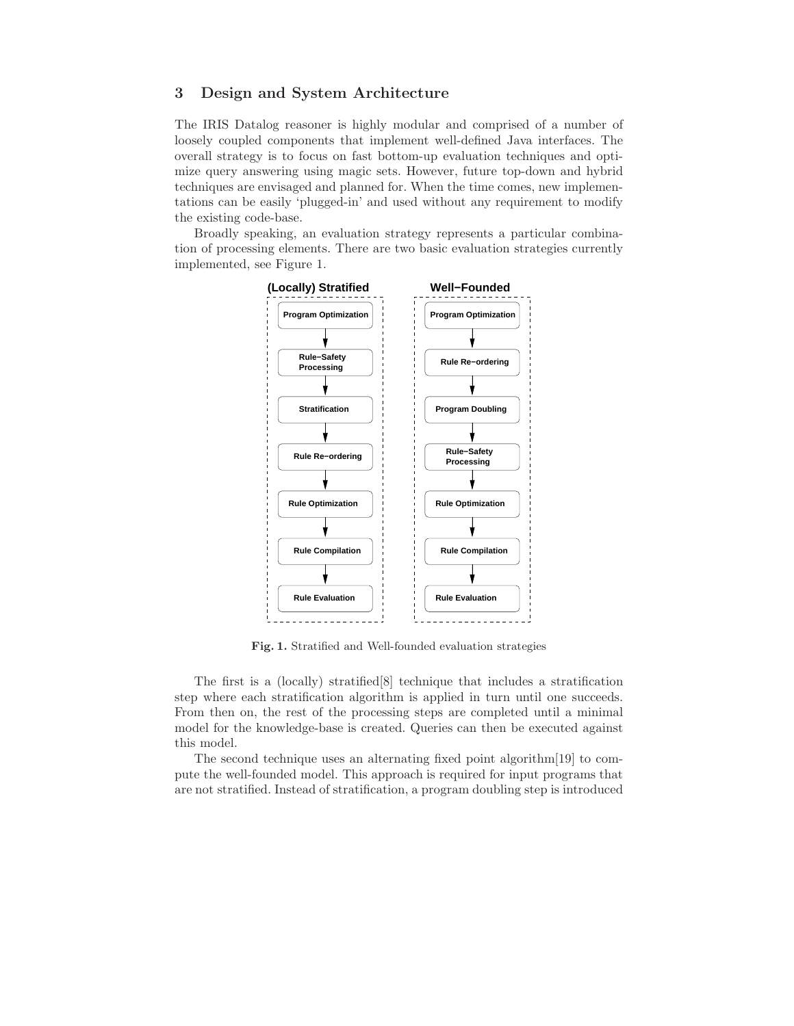### 3 Design and System Architecture

The IRIS Datalog reasoner is highly modular and comprised of a number of loosely coupled components that implement well-defined Java interfaces. The overall strategy is to focus on fast bottom-up evaluation techniques and optimize query answering using magic sets. However, future top-down and hybrid techniques are envisaged and planned for. When the time comes, new implementations can be easily 'plugged-in' and used without any requirement to modify the existing code-base.

Broadly speaking, an evaluation strategy represents a particular combination of processing elements. There are two basic evaluation strategies currently implemented, see Figure 1.



Fig. 1. Stratified and Well-founded evaluation strategies

The first is a (locally) stratified[8] technique that includes a stratification step where each stratification algorithm is applied in turn until one succeeds. From then on, the rest of the processing steps are completed until a minimal model for the knowledge-base is created. Queries can then be executed against this model.

The second technique uses an alternating fixed point algorithm[19] to compute the well-founded model. This approach is required for input programs that are not stratified. Instead of stratification, a program doubling step is introduced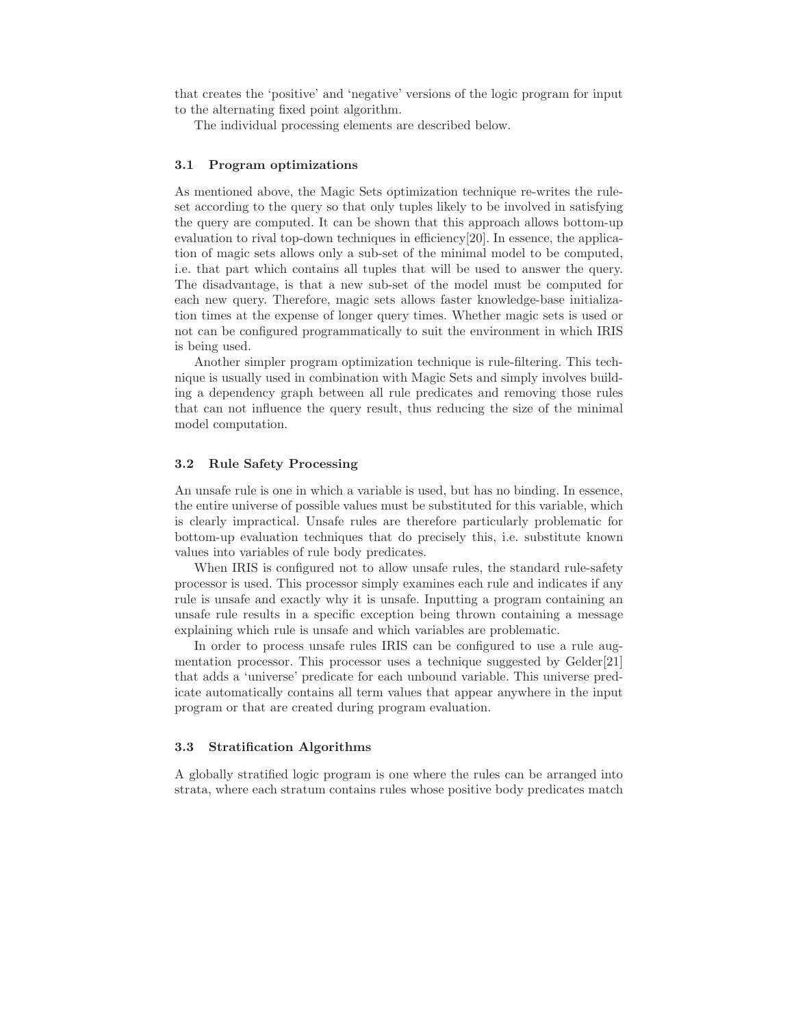that creates the 'positive' and 'negative' versions of the logic program for input to the alternating fixed point algorithm.

The individual processing elements are described below.

#### 3.1 Program optimizations

As mentioned above, the Magic Sets optimization technique re-writes the ruleset according to the query so that only tuples likely to be involved in satisfying the query are computed. It can be shown that this approach allows bottom-up evaluation to rival top-down techniques in efficiency[20]. In essence, the application of magic sets allows only a sub-set of the minimal model to be computed, i.e. that part which contains all tuples that will be used to answer the query. The disadvantage, is that a new sub-set of the model must be computed for each new query. Therefore, magic sets allows faster knowledge-base initialization times at the expense of longer query times. Whether magic sets is used or not can be configured programmatically to suit the environment in which IRIS is being used.

Another simpler program optimization technique is rule-filtering. This technique is usually used in combination with Magic Sets and simply involves building a dependency graph between all rule predicates and removing those rules that can not influence the query result, thus reducing the size of the minimal model computation.

#### 3.2 Rule Safety Processing

An unsafe rule is one in which a variable is used, but has no binding. In essence, the entire universe of possible values must be substituted for this variable, which is clearly impractical. Unsafe rules are therefore particularly problematic for bottom-up evaluation techniques that do precisely this, i.e. substitute known values into variables of rule body predicates.

When IRIS is configured not to allow unsafe rules, the standard rule-safety processor is used. This processor simply examines each rule and indicates if any rule is unsafe and exactly why it is unsafe. Inputting a program containing an unsafe rule results in a specific exception being thrown containing a message explaining which rule is unsafe and which variables are problematic.

In order to process unsafe rules IRIS can be configured to use a rule augmentation processor. This processor uses a technique suggested by Gelder[21] that adds a 'universe' predicate for each unbound variable. This universe predicate automatically contains all term values that appear anywhere in the input program or that are created during program evaluation.

#### 3.3 Stratification Algorithms

A globally stratified logic program is one where the rules can be arranged into strata, where each stratum contains rules whose positive body predicates match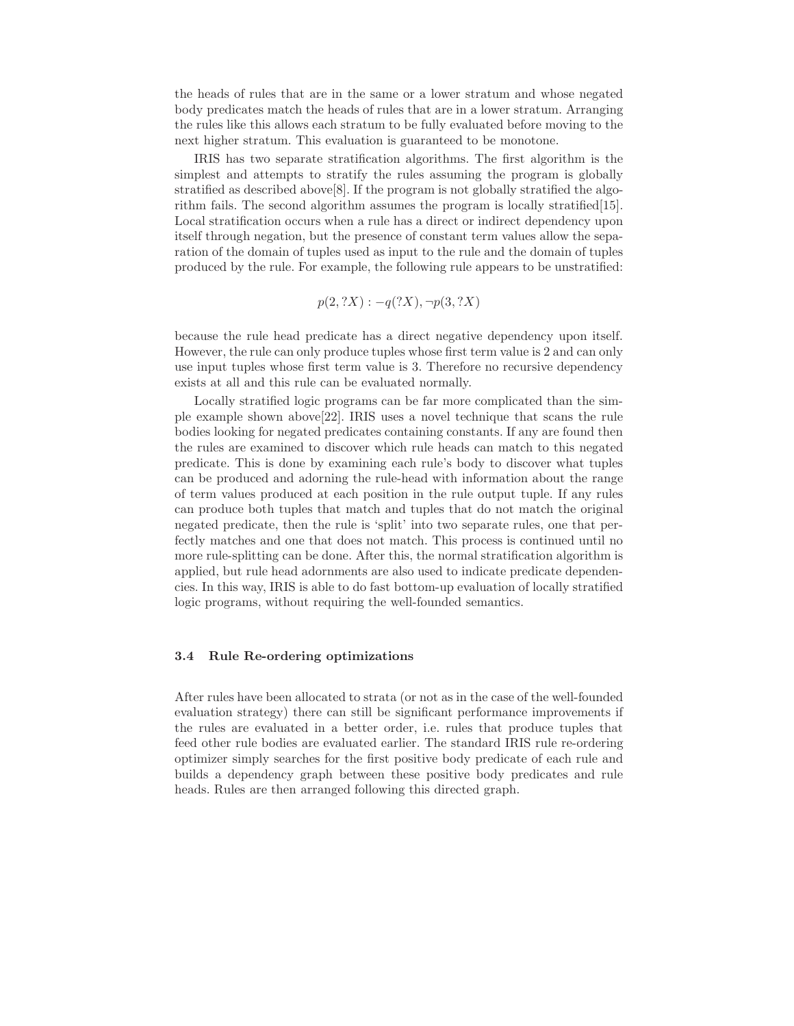the heads of rules that are in the same or a lower stratum and whose negated body predicates match the heads of rules that are in a lower stratum. Arranging the rules like this allows each stratum to be fully evaluated before moving to the next higher stratum. This evaluation is guaranteed to be monotone.

IRIS has two separate stratification algorithms. The first algorithm is the simplest and attempts to stratify the rules assuming the program is globally stratified as described above[8]. If the program is not globally stratified the algorithm fails. The second algorithm assumes the program is locally stratified[15]. Local stratification occurs when a rule has a direct or indirect dependency upon itself through negation, but the presence of constant term values allow the separation of the domain of tuples used as input to the rule and the domain of tuples produced by the rule. For example, the following rule appears to be unstratified:

$$
p(2, ?X) : -q(?X), \neg p(3, ?X)
$$

because the rule head predicate has a direct negative dependency upon itself. However, the rule can only produce tuples whose first term value is 2 and can only use input tuples whose first term value is 3. Therefore no recursive dependency exists at all and this rule can be evaluated normally.

Locally stratified logic programs can be far more complicated than the simple example shown above[22]. IRIS uses a novel technique that scans the rule bodies looking for negated predicates containing constants. If any are found then the rules are examined to discover which rule heads can match to this negated predicate. This is done by examining each rule's body to discover what tuples can be produced and adorning the rule-head with information about the range of term values produced at each position in the rule output tuple. If any rules can produce both tuples that match and tuples that do not match the original negated predicate, then the rule is 'split' into two separate rules, one that perfectly matches and one that does not match. This process is continued until no more rule-splitting can be done. After this, the normal stratification algorithm is applied, but rule head adornments are also used to indicate predicate dependencies. In this way, IRIS is able to do fast bottom-up evaluation of locally stratified logic programs, without requiring the well-founded semantics.

#### 3.4 Rule Re-ordering optimizations

After rules have been allocated to strata (or not as in the case of the well-founded evaluation strategy) there can still be significant performance improvements if the rules are evaluated in a better order, i.e. rules that produce tuples that feed other rule bodies are evaluated earlier. The standard IRIS rule re-ordering optimizer simply searches for the first positive body predicate of each rule and builds a dependency graph between these positive body predicates and rule heads. Rules are then arranged following this directed graph.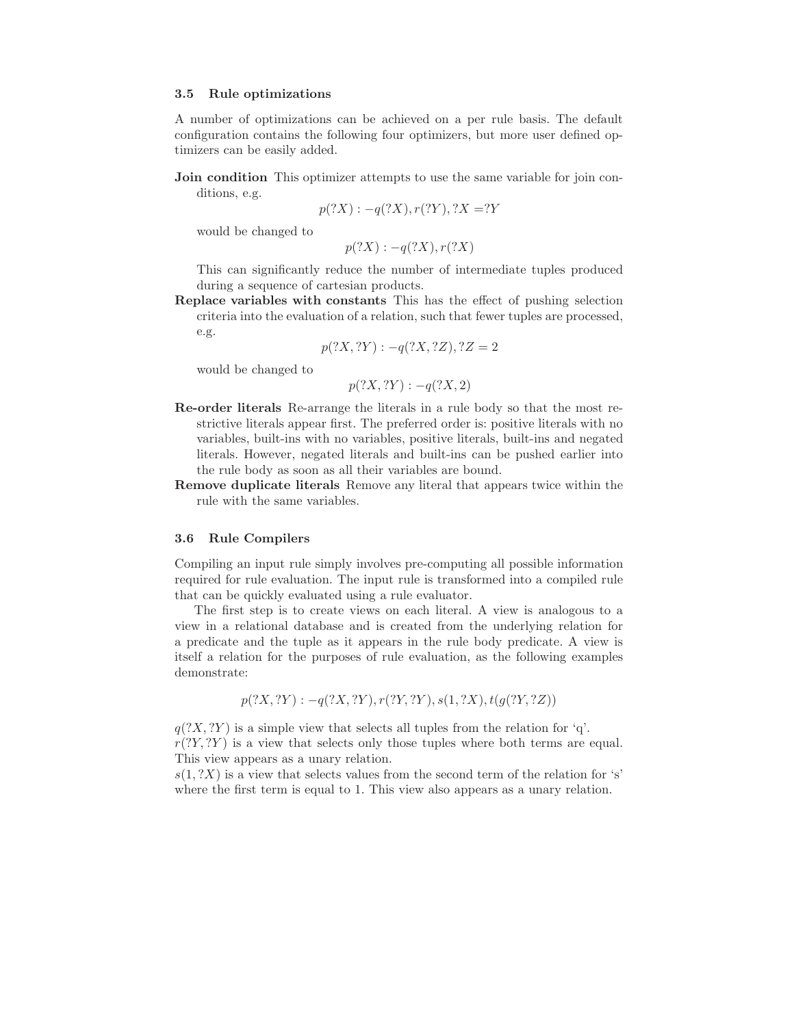#### 3.5 Rule optimizations

A number of optimizations can be achieved on a per rule basis. The default configuration contains the following four optimizers, but more user defined optimizers can be easily added.

**Join condition** This optimizer attempts to use the same variable for join conditions, e.g.

$$
p(?X) : -q(?X), r(?Y), ?X = ?Y
$$

would be changed to

$$
p(?X) : -q(?X), r(?X)
$$

This can significantly reduce the number of intermediate tuples produced during a sequence of cartesian products.

Replace variables with constants This has the effect of pushing selection criteria into the evaluation of a relation, such that fewer tuples are processed, e.g.

$$
p(?X, ?Y) : -q(?X, ?Z), ?Z = 2
$$

would be changed to

 $p(?X, ?Y) : -q(?X, 2)$ 

- Re-order literals Re-arrange the literals in a rule body so that the most restrictive literals appear first. The preferred order is: positive literals with no variables, built-ins with no variables, positive literals, built-ins and negated literals. However, negated literals and built-ins can be pushed earlier into the rule body as soon as all their variables are bound.
- Remove duplicate literals Remove any literal that appears twice within the rule with the same variables.

#### 3.6 Rule Compilers

Compiling an input rule simply involves pre-computing all possible information required for rule evaluation. The input rule is transformed into a compiled rule that can be quickly evaluated using a rule evaluator.

The first step is to create views on each literal. A view is analogous to a view in a relational database and is created from the underlying relation for a predicate and the tuple as it appears in the rule body predicate. A view is itself a relation for the purposes of rule evaluation, as the following examples demonstrate:

$$
p(?X, ?Y) : -q(?X, ?Y), r(?Y, ?Y), s(1, ?X), t(g(?Y, ?Z))
$$

 $q(?X, ?Y)$  is a simple view that selects all tuples from the relation for 'q'.  $r(Y, Y)$  is a view that selects only those tuples where both terms are equal. This view appears as a unary relation.

 $s(1, ?X)$  is a view that selects values from the second term of the relation for 's' where the first term is equal to 1. This view also appears as a unary relation.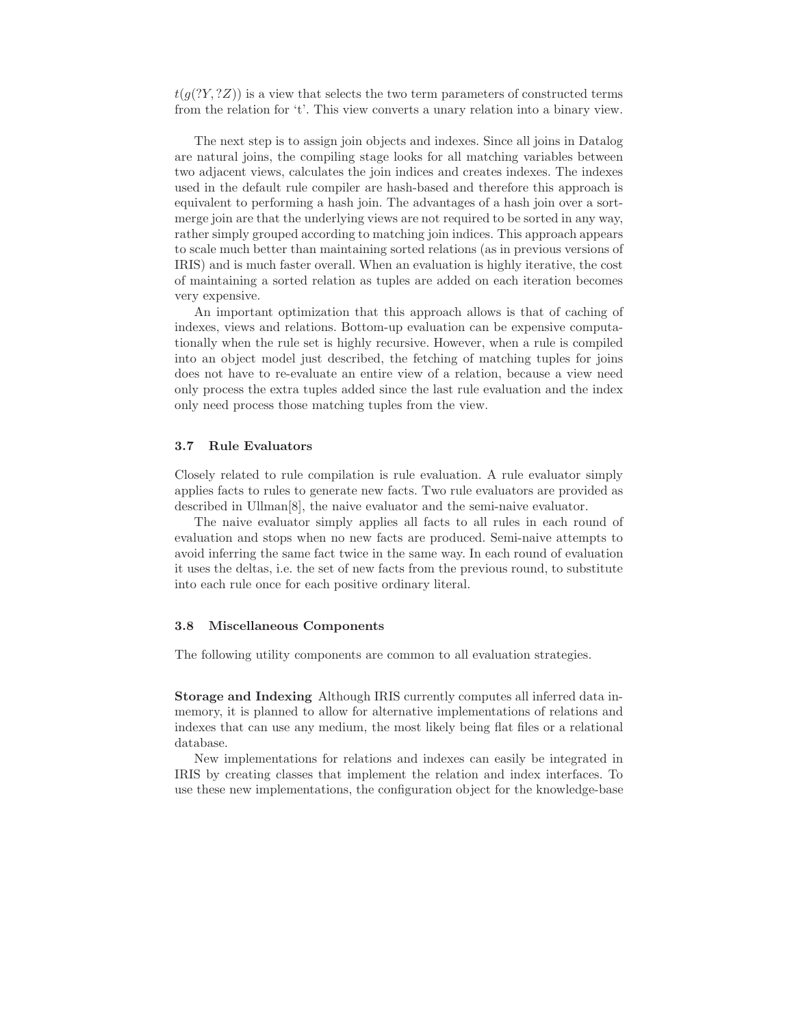$t(q(Y, Y, Z))$  is a view that selects the two term parameters of constructed terms from the relation for 't'. This view converts a unary relation into a binary view.

The next step is to assign join objects and indexes. Since all joins in Datalog are natural joins, the compiling stage looks for all matching variables between two adjacent views, calculates the join indices and creates indexes. The indexes used in the default rule compiler are hash-based and therefore this approach is equivalent to performing a hash join. The advantages of a hash join over a sortmerge join are that the underlying views are not required to be sorted in any way, rather simply grouped according to matching join indices. This approach appears to scale much better than maintaining sorted relations (as in previous versions of IRIS) and is much faster overall. When an evaluation is highly iterative, the cost of maintaining a sorted relation as tuples are added on each iteration becomes very expensive.

An important optimization that this approach allows is that of caching of indexes, views and relations. Bottom-up evaluation can be expensive computationally when the rule set is highly recursive. However, when a rule is compiled into an object model just described, the fetching of matching tuples for joins does not have to re-evaluate an entire view of a relation, because a view need only process the extra tuples added since the last rule evaluation and the index only need process those matching tuples from the view.

#### 3.7 Rule Evaluators

Closely related to rule compilation is rule evaluation. A rule evaluator simply applies facts to rules to generate new facts. Two rule evaluators are provided as described in Ullman[8], the naive evaluator and the semi-naive evaluator.

The naive evaluator simply applies all facts to all rules in each round of evaluation and stops when no new facts are produced. Semi-naive attempts to avoid inferring the same fact twice in the same way. In each round of evaluation it uses the deltas, i.e. the set of new facts from the previous round, to substitute into each rule once for each positive ordinary literal.

#### 3.8 Miscellaneous Components

The following utility components are common to all evaluation strategies.

Storage and Indexing Although IRIS currently computes all inferred data inmemory, it is planned to allow for alternative implementations of relations and indexes that can use any medium, the most likely being flat files or a relational database.

New implementations for relations and indexes can easily be integrated in IRIS by creating classes that implement the relation and index interfaces. To use these new implementations, the configuration object for the knowledge-base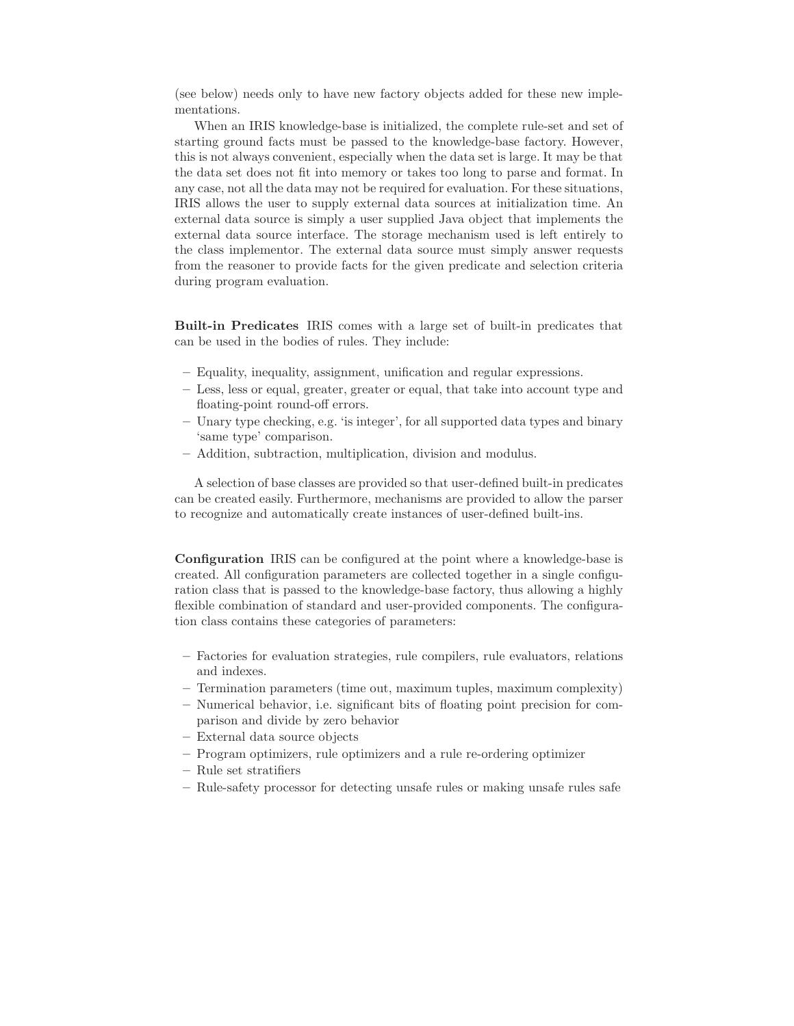(see below) needs only to have new factory objects added for these new implementations.

When an IRIS knowledge-base is initialized, the complete rule-set and set of starting ground facts must be passed to the knowledge-base factory. However, this is not always convenient, especially when the data set is large. It may be that the data set does not fit into memory or takes too long to parse and format. In any case, not all the data may not be required for evaluation. For these situations, IRIS allows the user to supply external data sources at initialization time. An external data source is simply a user supplied Java object that implements the external data source interface. The storage mechanism used is left entirely to the class implementor. The external data source must simply answer requests from the reasoner to provide facts for the given predicate and selection criteria during program evaluation.

Built-in Predicates IRIS comes with a large set of built-in predicates that can be used in the bodies of rules. They include:

- Equality, inequality, assignment, unification and regular expressions.
- Less, less or equal, greater, greater or equal, that take into account type and floating-point round-off errors.
- Unary type checking, e.g. 'is integer', for all supported data types and binary 'same type' comparison.
- Addition, subtraction, multiplication, division and modulus.

A selection of base classes are provided so that user-defined built-in predicates can be created easily. Furthermore, mechanisms are provided to allow the parser to recognize and automatically create instances of user-defined built-ins.

Configuration IRIS can be configured at the point where a knowledge-base is created. All configuration parameters are collected together in a single configuration class that is passed to the knowledge-base factory, thus allowing a highly flexible combination of standard and user-provided components. The configuration class contains these categories of parameters:

- Factories for evaluation strategies, rule compilers, rule evaluators, relations and indexes.
- Termination parameters (time out, maximum tuples, maximum complexity)
- Numerical behavior, i.e. significant bits of floating point precision for comparison and divide by zero behavior
- External data source objects
- Program optimizers, rule optimizers and a rule re-ordering optimizer
- Rule set stratifiers
- Rule-safety processor for detecting unsafe rules or making unsafe rules safe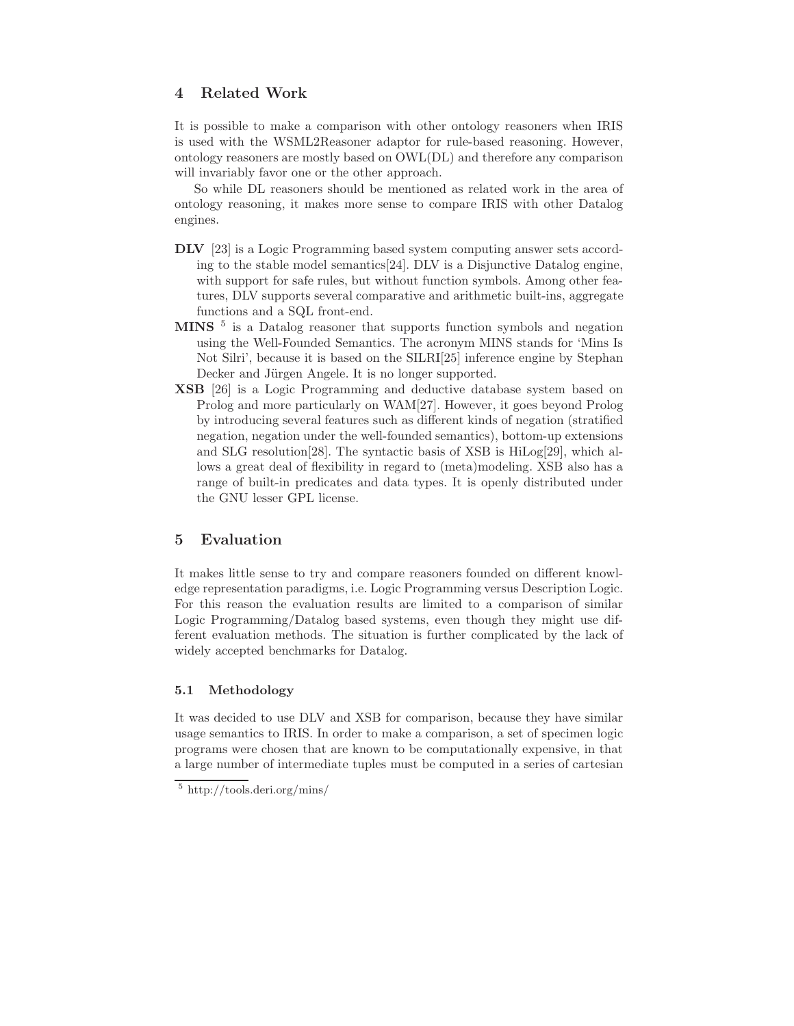## 4 Related Work

It is possible to make a comparison with other ontology reasoners when IRIS is used with the WSML2Reasoner adaptor for rule-based reasoning. However, ontology reasoners are mostly based on OWL(DL) and therefore any comparison will invariably favor one or the other approach.

So while DL reasoners should be mentioned as related work in the area of ontology reasoning, it makes more sense to compare IRIS with other Datalog engines.

- DLV [23] is a Logic Programming based system computing answer sets according to the stable model semantics[24]. DLV is a Disjunctive Datalog engine, with support for safe rules, but without function symbols. Among other features, DLV supports several comparative and arithmetic built-ins, aggregate functions and a SQL front-end.
- MINS<sup>5</sup> is a Datalog reasoner that supports function symbols and negation using the Well-Founded Semantics. The acronym MINS stands for 'Mins Is Not Silri', because it is based on the SILRI[25] inference engine by Stephan Decker and Jürgen Angele. It is no longer supported.
- XSB [26] is a Logic Programming and deductive database system based on Prolog and more particularly on WAM[27]. However, it goes beyond Prolog by introducing several features such as different kinds of negation (stratified negation, negation under the well-founded semantics), bottom-up extensions and SLG resolution[28]. The syntactic basis of XSB is HiLog[29], which allows a great deal of flexibility in regard to (meta)modeling. XSB also has a range of built-in predicates and data types. It is openly distributed under the GNU lesser GPL license.

### 5 Evaluation

It makes little sense to try and compare reasoners founded on different knowledge representation paradigms, i.e. Logic Programming versus Description Logic. For this reason the evaluation results are limited to a comparison of similar Logic Programming/Datalog based systems, even though they might use different evaluation methods. The situation is further complicated by the lack of widely accepted benchmarks for Datalog.

#### 5.1 Methodology

It was decided to use DLV and XSB for comparison, because they have similar usage semantics to IRIS. In order to make a comparison, a set of specimen logic programs were chosen that are known to be computationally expensive, in that a large number of intermediate tuples must be computed in a series of cartesian

<sup>5</sup> http://tools.deri.org/mins/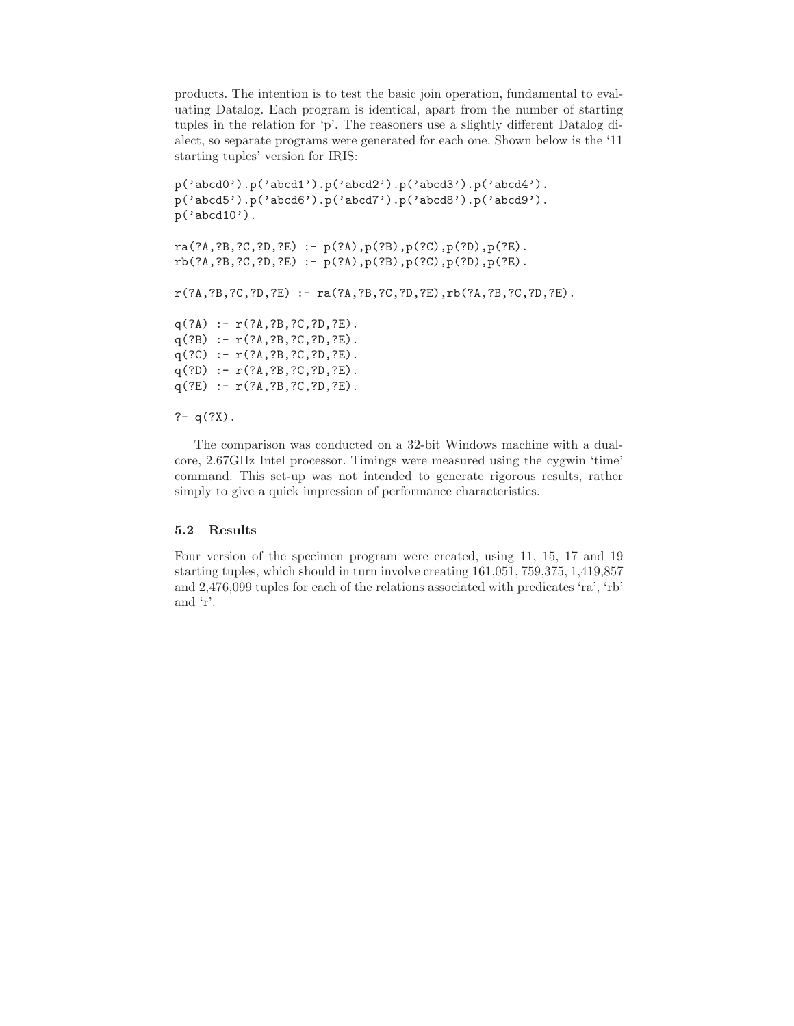products. The intention is to test the basic join operation, fundamental to evaluating Datalog. Each program is identical, apart from the number of starting tuples in the relation for 'p'. The reasoners use a slightly different Datalog dialect, so separate programs were generated for each one. Shown below is the '11 starting tuples' version for IRIS:

```
p('abcd0').p('abcd1').p('abcd2').p('abcd3').p('abcd4').
p('abcd5').p('abcd6').p('abcd7').p('abcd8').p('abcd9').
p('abcd10').
```

```
ra(?A,?B,?C,?D,?E) :- p(?A),p(?B),p(?C),p(?D),p(?E).
rb(?A,?B,?C,?D,?E) :- p(?A),p(?B),p(?C),p(?D),p(?E).
```
r(?A,?B,?C,?D,?E) :- ra(?A,?B,?C,?D,?E),rb(?A,?B,?C,?D,?E).

 $q(?A) := r(?A, ?B, ?C, ?D, ?E)$ . q(?B) :- r(?A,?B,?C,?D,?E). q(?C) :- r(?A,?B,?C,?D,?E). q(?D) :- r(?A,?B,?C,?D,?E).  $q(?E) := r(?A, ?B, ?C, ?D, ?E)$ .

#### ?-  $q(?X)$ .

The comparison was conducted on a 32-bit Windows machine with a dualcore, 2.67GHz Intel processor. Timings were measured using the cygwin 'time' command. This set-up was not intended to generate rigorous results, rather simply to give a quick impression of performance characteristics.

#### 5.2 Results

Four version of the specimen program were created, using 11, 15, 17 and 19 starting tuples, which should in turn involve creating 161,051, 759,375, 1,419,857 and 2,476,099 tuples for each of the relations associated with predicates 'ra', 'rb' and 'r'.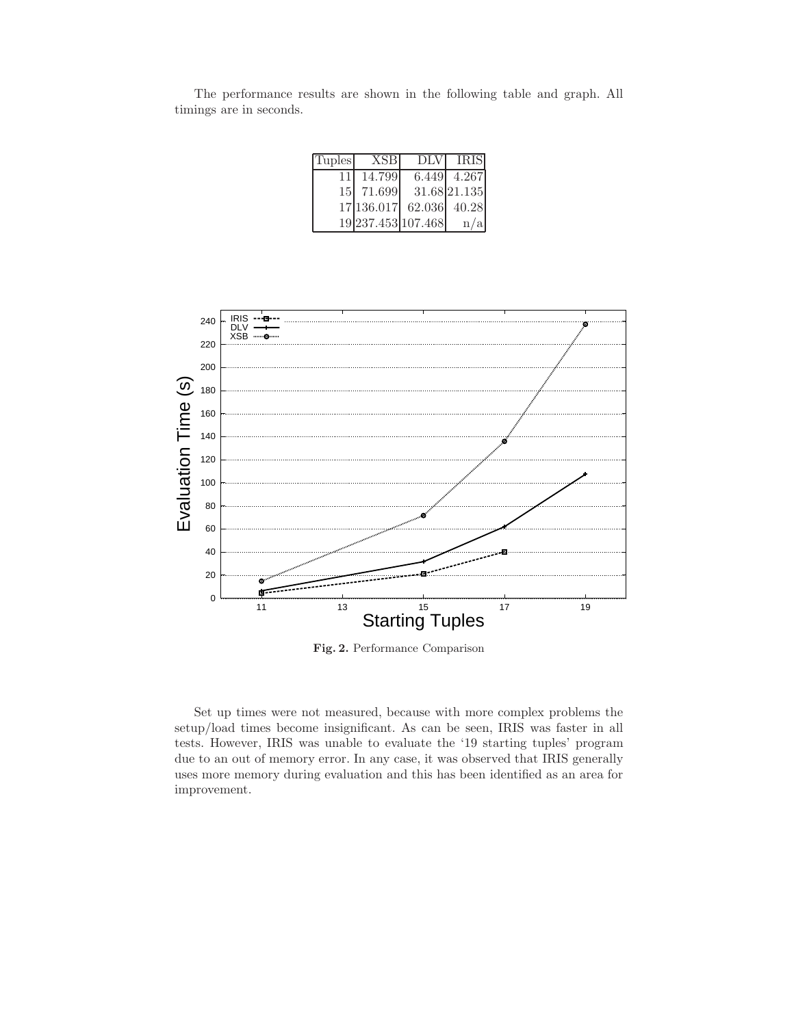| <b>Tuples</b> | <b>XSB</b>         | <b>DLV</b>   | <b>IRIS</b>  |
|---------------|--------------------|--------------|--------------|
| 11            | 14.799             | 6.449        | 4.267        |
|               | 15 71.699          |              | 31.68 21.135 |
|               | 17 136.017         | 62.036 40.28 |              |
|               | 19 237.453 107.468 |              | n/a          |

The performance results are shown in the following table and graph. All timings are in seconds.



Fig. 2. Performance Comparison

Set up times were not measured, because with more complex problems the setup/load times become insignificant. As can be seen, IRIS was faster in all tests. However, IRIS was unable to evaluate the '19 starting tuples' program due to an out of memory error. In any case, it was observed that IRIS generally uses more memory during evaluation and this has been identified as an area for improvement.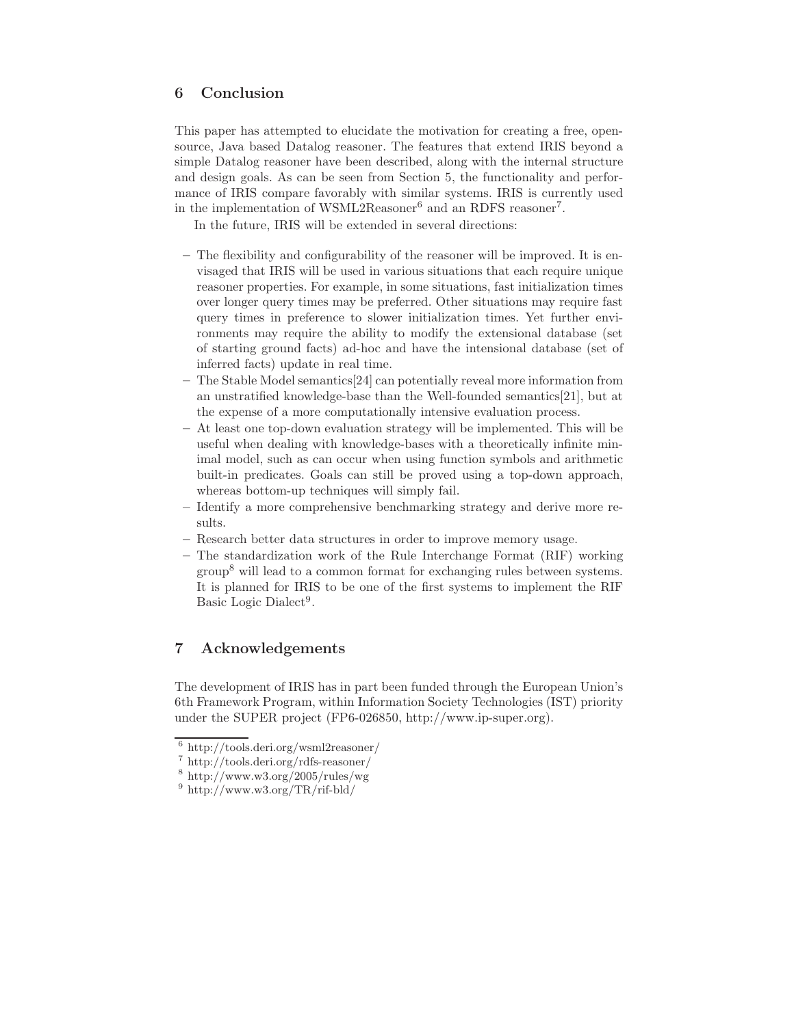## 6 Conclusion

This paper has attempted to elucidate the motivation for creating a free, opensource, Java based Datalog reasoner. The features that extend IRIS beyond a simple Datalog reasoner have been described, along with the internal structure and design goals. As can be seen from Section 5, the functionality and performance of IRIS compare favorably with similar systems. IRIS is currently used in the implementation of WSML2Reasoner<sup>6</sup> and an RDFS reasoner<sup>7</sup>.

In the future, IRIS will be extended in several directions:

- The flexibility and configurability of the reasoner will be improved. It is envisaged that IRIS will be used in various situations that each require unique reasoner properties. For example, in some situations, fast initialization times over longer query times may be preferred. Other situations may require fast query times in preference to slower initialization times. Yet further environments may require the ability to modify the extensional database (set of starting ground facts) ad-hoc and have the intensional database (set of inferred facts) update in real time.
- The Stable Model semantics[24] can potentially reveal more information from an unstratified knowledge-base than the Well-founded semantics[21], but at the expense of a more computationally intensive evaluation process.
- At least one top-down evaluation strategy will be implemented. This will be useful when dealing with knowledge-bases with a theoretically infinite minimal model, such as can occur when using function symbols and arithmetic built-in predicates. Goals can still be proved using a top-down approach, whereas bottom-up techniques will simply fail.
- Identify a more comprehensive benchmarking strategy and derive more results.
- Research better data structures in order to improve memory usage.
- The standardization work of the Rule Interchange Format (RIF) working group<sup>8</sup> will lead to a common format for exchanging rules between systems. It is planned for IRIS to be one of the first systems to implement the RIF Basic Logic Dialect<sup>9</sup>.

## 7 Acknowledgements

The development of IRIS has in part been funded through the European Union's 6th Framework Program, within Information Society Technologies (IST) priority under the SUPER project (FP6-026850, http://www.ip-super.org).

<sup>6</sup> http://tools.deri.org/wsml2reasoner/

<sup>7</sup> http://tools.deri.org/rdfs-reasoner/

<sup>8</sup> http://www.w3.org/2005/rules/wg

 $9 \text{ http://www.w3.org/TR/rif-bld/}$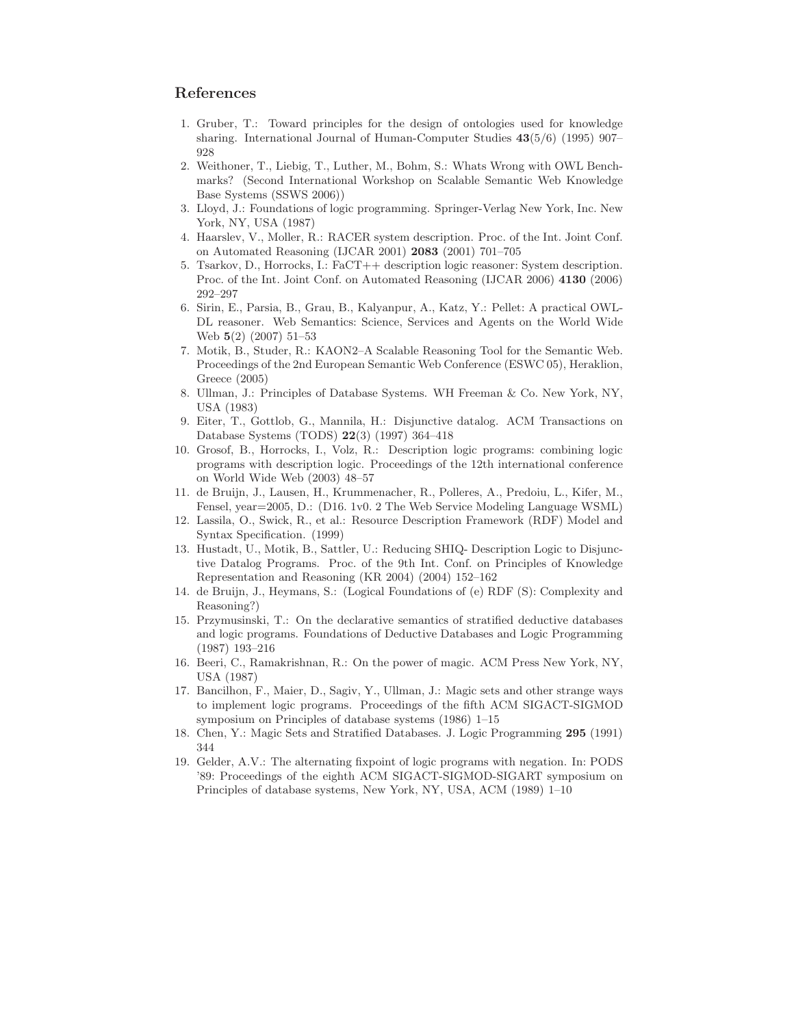### References

- 1. Gruber, T.: Toward principles for the design of ontologies used for knowledge sharing. International Journal of Human-Computer Studies 43(5/6) (1995) 907– 928
- 2. Weithoner, T., Liebig, T., Luther, M., Bohm, S.: Whats Wrong with OWL Benchmarks? (Second International Workshop on Scalable Semantic Web Knowledge Base Systems (SSWS 2006))
- 3. Lloyd, J.: Foundations of logic programming. Springer-Verlag New York, Inc. New York, NY, USA (1987)
- 4. Haarslev, V., Moller, R.: RACER system description. Proc. of the Int. Joint Conf. on Automated Reasoning (IJCAR 2001) 2083 (2001) 701–705
- 5. Tsarkov, D., Horrocks, I.: FaCT++ description logic reasoner: System description. Proc. of the Int. Joint Conf. on Automated Reasoning (IJCAR 2006) 4130 (2006) 292–297
- 6. Sirin, E., Parsia, B., Grau, B., Kalyanpur, A., Katz, Y.: Pellet: A practical OWL-DL reasoner. Web Semantics: Science, Services and Agents on the World Wide Web 5(2) (2007) 51–53
- 7. Motik, B., Studer, R.: KAON2–A Scalable Reasoning Tool for the Semantic Web. Proceedings of the 2nd European Semantic Web Conference (ESWC 05), Heraklion, Greece (2005)
- 8. Ullman, J.: Principles of Database Systems. WH Freeman & Co. New York, NY, USA (1983)
- 9. Eiter, T., Gottlob, G., Mannila, H.: Disjunctive datalog. ACM Transactions on Database Systems (TODS) 22(3) (1997) 364–418
- 10. Grosof, B., Horrocks, I., Volz, R.: Description logic programs: combining logic programs with description logic. Proceedings of the 12th international conference on World Wide Web (2003) 48–57
- 11. de Bruijn, J., Lausen, H., Krummenacher, R., Polleres, A., Predoiu, L., Kifer, M., Fensel, year=2005, D.: (D16. 1v0. 2 The Web Service Modeling Language WSML)
- 12. Lassila, O., Swick, R., et al.: Resource Description Framework (RDF) Model and Syntax Specification. (1999)
- 13. Hustadt, U., Motik, B., Sattler, U.: Reducing SHIQ- Description Logic to Disjunctive Datalog Programs. Proc. of the 9th Int. Conf. on Principles of Knowledge Representation and Reasoning (KR 2004) (2004) 152–162
- 14. de Bruijn, J., Heymans, S.: (Logical Foundations of (e) RDF (S): Complexity and Reasoning?)
- 15. Przymusinski, T.: On the declarative semantics of stratified deductive databases and logic programs. Foundations of Deductive Databases and Logic Programming (1987) 193–216
- 16. Beeri, C., Ramakrishnan, R.: On the power of magic. ACM Press New York, NY, USA (1987)
- 17. Bancilhon, F., Maier, D., Sagiv, Y., Ullman, J.: Magic sets and other strange ways to implement logic programs. Proceedings of the fifth ACM SIGACT-SIGMOD symposium on Principles of database systems (1986) 1–15
- 18. Chen, Y.: Magic Sets and Stratified Databases. J. Logic Programming 295 (1991) 344
- 19. Gelder, A.V.: The alternating fixpoint of logic programs with negation. In: PODS '89: Proceedings of the eighth ACM SIGACT-SIGMOD-SIGART symposium on Principles of database systems, New York, NY, USA, ACM (1989) 1–10